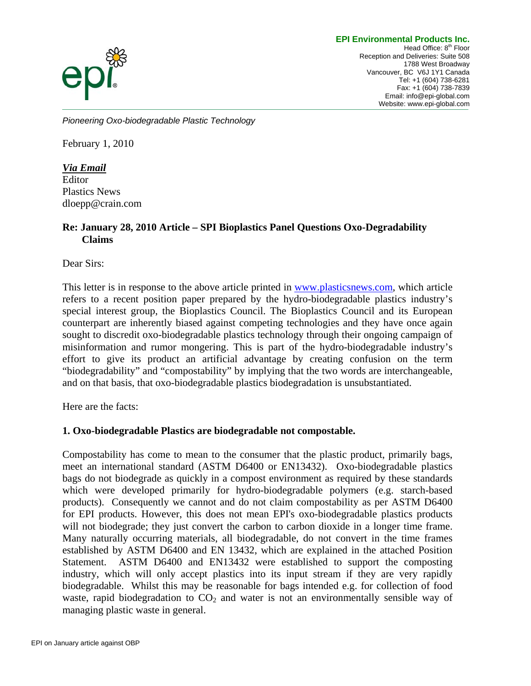#### **EPI Environmental Products Inc.**



Head Office: 8<sup>th</sup> Floor Reception and Deliveries: Suite 508 1788 West Broadway Vancouver, BC V6J 1Y1 Canada Tel: +1 (604) 738-6281 Fax: +1 (604) 738-7839 Email: info@epi-global.com Website: www.epi-global.com

*Pioneering Oxo-biodegradable Plastic Technology* 

February 1, 2010

*Via Email* Editor Plastics News dloepp@crain.com

# **Re: January 28, 2010 Article – SPI Bioplastics Panel Questions Oxo-Degradability Claims**

Dear Sirs:

This letter is in response to the above article printed in [www.plasticsnews.com,](http://www.plasticsnews.com/) which article refers to a recent position paper prepared by the hydro-biodegradable plastics industry's special interest group, the Bioplastics Council. The Bioplastics Council and its European counterpart are inherently biased against competing technologies and they have once again sought to discredit oxo-biodegradable plastics technology through their ongoing campaign of misinformation and rumor mongering. This is part of the hydro-biodegradable industry's effort to give its product an artificial advantage by creating confusion on the term "biodegradability" and "compostability" by implying that the two words are interchangeable, and on that basis, that oxo-biodegradable plastics biodegradation is unsubstantiated.

Here are the facts:

#### **1. Oxo-biodegradable Plastics are biodegradable not compostable.**

Compostability has come to mean to the consumer that the plastic product, primarily bags, meet an international standard (ASTM D6400 or EN13432). Oxo-biodegradable plastics bags do not biodegrade as quickly in a compost environment as required by these standards which were developed primarily for hydro-biodegradable polymers (e.g. starch-based products). Consequently we cannot and do not claim compostability as per ASTM D6400 for EPI products. However, this does not mean EPI's oxo-biodegradable plastics products will not biodegrade; they just convert the carbon to carbon dioxide in a longer time frame. Many naturally occurring materials, all biodegradable, do not convert in the time frames established by ASTM D6400 and EN 13432, which are explained in the attached Position Statement. ASTM D6400 and EN13432 were established to support the composting industry, which will only accept plastics into its input stream if they are very rapidly biodegradable. Whilst this may be reasonable for bags intended e.g. for collection of food waste, rapid biodegradation to  $CO<sub>2</sub>$  and water is not an environmentally sensible way of managing plastic waste in general.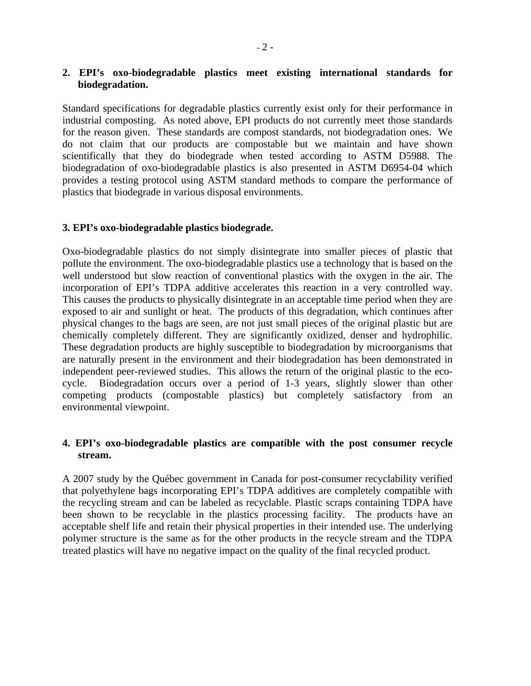### **2. EPI's oxo-biodegradable plastics meet existing international standards for biodegradation.**

Standard specifications for degradable plastics currently exist only for their performance in industrial composting. As noted above, EPI products do not currently meet those standards for the reason given. These standards are compost standards, not biodegradation ones. We do not claim that our products are compostable but we maintain and have shown scientifically that they do biodegrade when tested according to ASTM D5988. The biodegradation of oxo-biodegradable plastics is also presented in ASTM D6954-04 which provides a testing protocol using ASTM standard methods to compare the performance of plastics that biodegrade in various disposal environments.

#### **3. EPI's oxo-biodegradable plastics biodegrade.**

Oxo-biodegradable plastics do not simply disintegrate into smaller pieces of plastic that pollute the environment. The oxo-biodegradable plastics use a technology that is based on the well understood but slow reaction of conventional plastics with the oxygen in the air. The incorporation of EPI's TDPA additive accelerates this reaction in a very controlled way. This causes the products to physically disintegrate in an acceptable time period when they are exposed to air and sunlight or heat. The products of this degradation, which continues after physical changes to the bags are seen, are not just small pieces of the original plastic but are chemically completely different. They are significantly oxidized, denser and hydrophilic. These degradation products are highly susceptible to biodegradation by microorganisms that are naturally present in the environment and their biodegradation has been demonstrated in independent peer-reviewed studies. This allows the return of the original plastic to the ecocycle. Biodegradation occurs over a period of 1-3 years, slightly slower than other competing products (compostable plastics) but completely satisfactory from an environmental viewpoint.

# **4. EPI's oxo-biodegradable plastics are compatible with the post consumer recycle stream.**

A 2007 study by the Québec government in Canada for post-consumer recyclability verified that polyethylene bags incorporating EPI's TDPA additives are completely compatible with the recycling stream and can be labeled as recyclable. Plastic scraps containing TDPA have been shown to be recyclable in the plastics processing facility. The products have an acceptable shelf life and retain their physical properties in their intended use. The underlying polymer structure is the same as for the other products in the recycle stream and the TDPA treated plastics will have no negative impact on the quality of the final recycled product.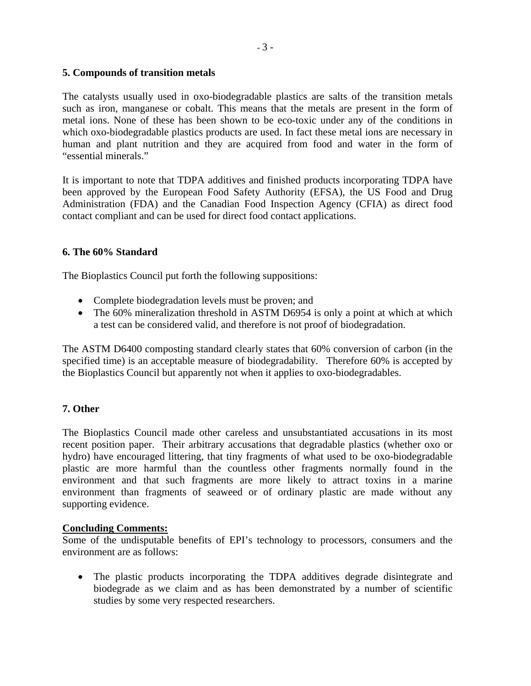# **5. Compounds of transition metals**

The catalysts usually used in oxo-biodegradable plastics are salts of the transition metals such as iron, manganese or cobalt. This means that the metals are present in the form of metal ions. None of these has been shown to be eco-toxic under any of the conditions in which oxo-biodegradable plastics products are used. In fact these metal ions are necessary in human and plant nutrition and they are acquired from food and water in the form of "essential minerals."

It is important to note that TDPA additives and finished products incorporating TDPA have been approved by the European Food Safety Authority (EFSA), the US Food and Drug Administration (FDA) and the Canadian Food Inspection Agency (CFIA) as direct food contact compliant and can be used for direct food contact applications.

## **6. The 60% Standard**

The Bioplastics Council put forth the following suppositions:

- Complete biodegradation levels must be proven; and
- The 60% mineralization threshold in ASTM D6954 is only a point at which at which a test can be considered valid, and therefore is not proof of biodegradation.

The ASTM D6400 composting standard clearly states that 60% conversion of carbon (in the specified time) is an acceptable measure of biodegradability. Therefore 60% is accepted by the Bioplastics Council but apparently not when it applies to oxo-biodegradables.

# **7. Other**

The Bioplastics Council made other careless and unsubstantiated accusations in its most recent position paper. Their arbitrary accusations that degradable plastics (whether oxo or hydro) have encouraged littering, that tiny fragments of what used to be oxo-biodegradable plastic are more harmful than the countless other fragments normally found in the environment and that such fragments are more likely to attract toxins in a marine environment than fragments of seaweed or of ordinary plastic are made without any supporting evidence.

# **Concluding Comments:**

Some of the undisputable benefits of EPI's technology to processors, consumers and the environment are as follows:

• The plastic products incorporating the TDPA additives degrade disintegrate and biodegrade as we claim and as has been demonstrated by a number of scientific studies by some very respected researchers.